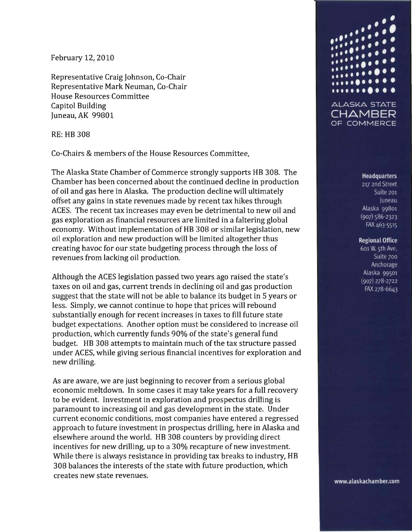February 12, 2010

Representative Craig Johnson, Co-Chair Representative Mark Neuman, Co-Chair House Resources Committee Capitol Building Juneau, AK 99801

RE: HB 308

Co-Chairs & members of the House Resources Committee,

The Alaska State Chamber of Commerce strongly supports HB 308. The Chamber has been concerned about the continued decline in production of oil and gas here in Alaska. The production decline will ultimately offset any gains in state revenues made by recent tax hikes through ACES. The recent tax increases may even be detrimental to new oil and gas exploration as financial resources are limited in a faltering global economy. Without implementation of HB 308 or similar legislation, new oil exploration and new production will be limited altogether thus creating havoc for our state budgeting process through the loss of revenues from lacking oil production.

Although the ACES legislation passed two years ago raised the state's taxes on oil and gas, current trends in declining oil and gas production suggest that the state will not be able to balance its budget in 5 years or less. Simply, we cannot continue to hope that prices will rebound substantially enough for recent increases in taxes to fill future state budget expectations. Another option must be considered to increase oil production, which currently funds 90% of the state's general fund budget. HB 308 attempts to maintain much of the tax structure passed under ACES, while giving serious financial incentives for exploration and new drilling.

As are aware, we are just beginning to recover from a serious global economic meltdown. In some cases it may take years for a full recovery to be evident. Investment in exploration and prospectus drilling is paramount to increasing oil and gas development in the state. Under current economic conditions, most companies have entered a regressed approach to future investment in prospectus drilling, here in Alaska and elsewhere around the world. HB 308 counters by providing direct incentives for new drilling, up to a 30% recapture of new investment. While there is always resistance in providing tax breaks to industry, HB 308 balances the interests of the state with future production, which creates new state revenues.



## **Headquarters**

217 2nd Street Suite 201 Juneau Alaska 99801  $(907) 586 - 2323$ FAX 463-5515

## **Regional Office**

601 W. 5th Ave. Suite 700 Anchorage Alaska 99501  $(907)$  278-2722 FAX 278-6643

www.alaskachamber.com